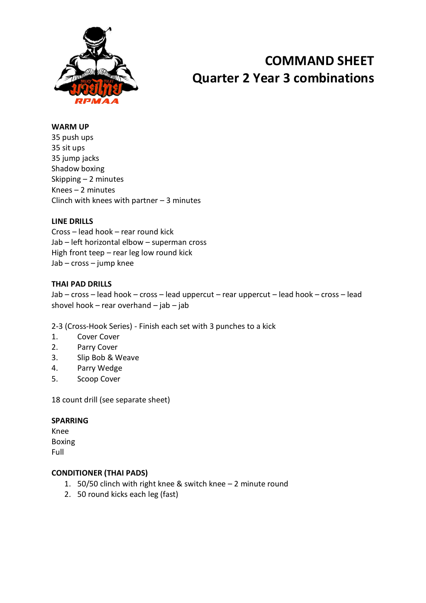

# **COMMAND SHEET Quarter 2 Year 3 combinations**

### **WARM UP**

35 push ups 35 sit ups 35 jump jacks Shadow boxing Skipping – 2 minutes Knees – 2 minutes Clinch with knees with partner  $-3$  minutes

#### **LINE DRILLS**

Cross – lead hook – rear round kick Jab – left horizontal elbow – superman cross High front teep – rear leg low round kick Jab – cross – jump knee

## **THAI PAD DRILLS**

Jab – cross – lead hook – cross – lead uppercut – rear uppercut – lead hook – cross – lead shovel hook – rear overhand – jab – jab

2-3 (Cross-Hook Series) - Finish each set with 3 punches to a kick

- 1. Cover Cover
- 2. Parry Cover
- 3. Slip Bob & Weave
- 4. Parry Wedge
- 5. Scoop Cover

18 count drill (see separate sheet)

#### **SPARRING**

Knee Boxing Full

#### **CONDITIONER (THAI PADS)**

- 1. 50/50 clinch with right knee & switch knee 2 minute round
- 2. 50 round kicks each leg (fast)